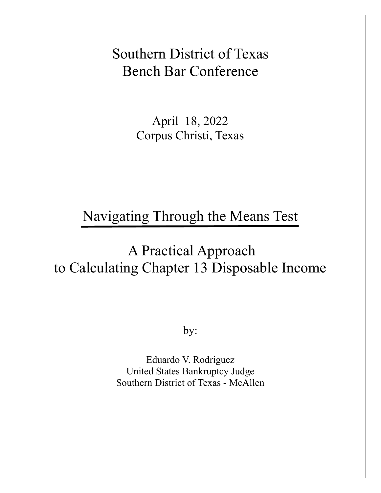Southern District of Texas Bench Bar Conference

> April 18, 2022 Corpus Christi, Texas

Navigating Through the Means Test

# A Practical Approach to Calculating Chapter 13 Disposable Income

by:

Eduardo V. Rodriguez United States Bankruptcy Judge Southern District of Texas - McAllen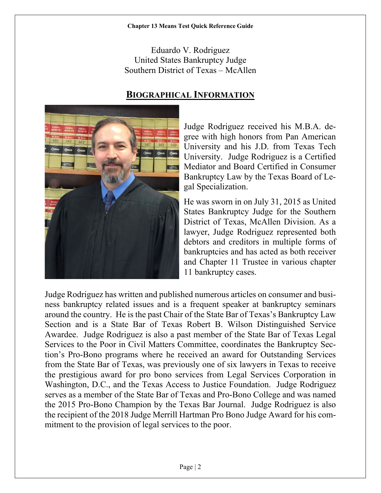Eduardo V. Rodriguez United States Bankruptcy Judge Southern District of Texas – McAllen

# **BIOGRAPHICAL INFORMATION**



Judge Rodriguez received his M.B.A. degree with high honors from Pan American University and his J.D. from Texas Tech University. Judge Rodriguez is a Certified Mediator and Board Certified in Consumer Bankruptcy Law by the Texas Board of Legal Specialization.

He was sworn in on July 31, 2015 as United States Bankruptcy Judge for the Southern District of Texas, McAllen Division. As a lawyer, Judge Rodriguez represented both debtors and creditors in multiple forms of bankruptcies and has acted as both receiver and Chapter 11 Trustee in various chapter 11 bankruptcy cases.

Judge Rodriguez has written and published numerous articles on consumer and business bankruptcy related issues and is a frequent speaker at bankruptcy seminars around the country. He is the past Chair of the State Bar of Texas's Bankruptcy Law Section and is a State Bar of Texas Robert B. Wilson Distinguished Service Awardee. Judge Rodriguez is also a past member of the State Bar of Texas Legal Services to the Poor in Civil Matters Committee, coordinates the Bankruptcy Section's Pro-Bono programs where he received an award for Outstanding Services from the State Bar of Texas, was previously one of six lawyers in Texas to receive the prestigious award for pro bono services from Legal Services Corporation in Washington, D.C., and the Texas Access to Justice Foundation. Judge Rodriguez serves as a member of the State Bar of Texas and Pro-Bono College and was named the 2015 Pro-Bono Champion by the Texas Bar Journal. Judge Rodriguez is also the recipient of the 2018 Judge Merrill Hartman Pro Bono Judge Award for his commitment to the provision of legal services to the poor.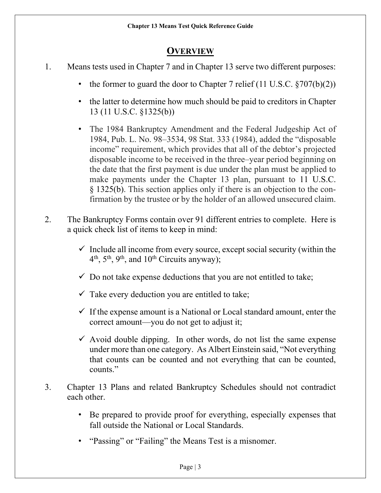# **OVERVIEW**

- 1. Means tests used in Chapter 7 and in Chapter 13 serve two different purposes:
	- the former to guard the door to Chapter 7 relief  $(11 \text{ U.S.C. } §707(b)(2))$
	- the latter to determine how much should be paid to creditors in Chapter 13 (11 U.S.C. §1325(b))
	- The 1984 Bankruptcy Amendment and the Federal Judgeship Act of 1984, Pub. L. No. 98–3534, 98 Stat. 333 (1984), added the "disposable income" requirement, which provides that all of the debtor's projected disposable income to be received in the three–year period beginning on the date that the first payment is due under the plan must be applied to make payments under the Chapter 13 plan, pursuant to [11 U.S.C.](https://1.next.westlaw.com/Link/Document/FullText?findType=L&pubNum=1000546&cite=11USCAS1325&originatingDoc=I2b61e6454a7b11dab40794c7841d57ec&refType=LQ&originationContext=document&transitionType=DocumentItem&contextData=(sc.Search)) § [1325\(b\).](https://1.next.westlaw.com/Link/Document/FullText?findType=L&pubNum=1000546&cite=11USCAS1325&originatingDoc=I2b61e6454a7b11dab40794c7841d57ec&refType=LQ&originationContext=document&transitionType=DocumentItem&contextData=(sc.Search)) This section applies only if there is an objection to the confirmation by the trustee or by the holder of an allowed unsecured claim.
- 2. The Bankruptcy Forms contain over 91 different entries to complete. Here is a quick check list of items to keep in mind:
	- $\checkmark$  Include all income from every source, except social security (within the  $4<sup>th</sup>$ ,  $5<sup>th</sup>$ ,  $9<sup>th</sup>$ , and  $10<sup>th</sup>$  Circuits anyway);
	- $\checkmark$  Do not take expense deductions that you are not entitled to take;
	- $\checkmark$  Take every deduction you are entitled to take;
	- $\checkmark$  If the expense amount is a National or Local standard amount, enter the correct amount—you do not get to adjust it;
	- $\checkmark$  Avoid double dipping. In other words, do not list the same expense under more than one category. As Albert Einstein said, "Not everything that counts can be counted and not everything that can be counted, counts."
- 3. Chapter 13 Plans and related Bankruptcy Schedules should not contradict each other.
	- Be prepared to provide proof for everything, especially expenses that fall outside the National or Local Standards.
	- "Passing" or "Failing" the Means Test is a misnomer.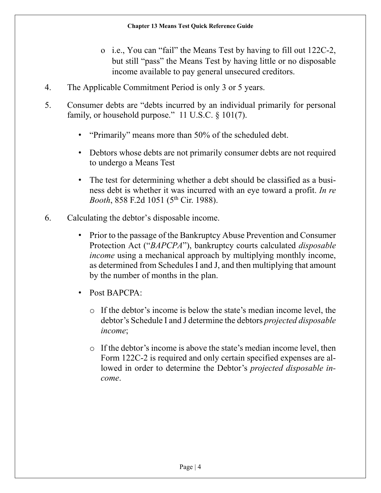- o i.e., You can "fail" the Means Test by having to fill out 122C-2, but still "pass" the Means Test by having little or no disposable income available to pay general unsecured creditors.
- 4. The Applicable Commitment Period is only 3 or 5 years.
- 5. Consumer debts are "debts incurred by an individual primarily for personal family, or household purpose." 11 U.S.C. § 101(7).
	- "Primarily" means more than 50% of the scheduled debt.
	- Debtors whose debts are not primarily consumer debts are not required to undergo a Means Test
	- The test for determining whether a debt should be classified as a business debt is whether it was incurred with an eye toward a profit. *In re Booth*, 858 F.2d 1051 (5<sup>th</sup> Cir. 1988).
- 6. Calculating the debtor's disposable income.
	- Prior to the passage of the Bankruptcy Abuse Prevention and Consumer Protection Act ("*BAPCPA*"), bankruptcy courts calculated *disposable income* using a mechanical approach by multiplying monthly income, as determined from Schedules I and J, and then multiplying that amount by the number of months in the plan.
	- Post BAPCPA:
		- o If the debtor's income is below the state's median income level, the debtor's Schedule I and J determine the debtors *projected disposable income*;
		- o If the debtor's income is above the state's median income level, then Form 122C-2 is required and only certain specified expenses are allowed in order to determine the Debtor's *projected disposable income*.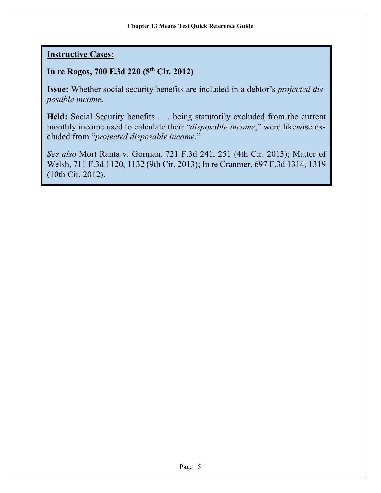# **Instructive Cases:**

# **In re Ragos, 700 F.3d 220 (5th Cir. 2012)**

**Issue:** Whether social security benefits are included in a debtor's *projected disposable income*.

**Held:** Social Security benefits . . . being statutorily excluded from the current monthly income used to calculate their "*disposable income*," were likewise excluded from "*projected disposable income*."

*See also* [Mort Ranta v. Gorman, 721 F.3d 241, 251 \(4th Cir. 2013\);](https://1.next.westlaw.com/Link/Document/FullText?findType=Y&serNum=2030900840&pubNum=0000506&originatingDoc=Ib518534c3b7911e599fae4351fa65465&refType=RP&fi=co_pp_sp_506_251&originationContext=document&transitionType=DocumentItem&contextData=(sc.Search)#co_pp_sp_506_251) Matter of [Welsh, 711 F.3d 1120, 1132 \(9th Cir. 2013\);](https://1.next.westlaw.com/Link/Document/FullText?findType=Y&serNum=2030210929&pubNum=0000506&originatingDoc=Ib518534c3b7911e599fae4351fa65465&refType=RP&fi=co_pp_sp_506_1132&originationContext=document&transitionType=DocumentItem&contextData=(sc.Search)#co_pp_sp_506_1132) [In re Cranmer, 697 F.3d 1314, 1319](https://1.next.westlaw.com/Link/Document/FullText?findType=Y&serNum=2028967015&pubNum=0000506&originatingDoc=Ib518534c3b7911e599fae4351fa65465&refType=RP&fi=co_pp_sp_506_1319&originationContext=document&transitionType=DocumentItem&contextData=(sc.Search)#co_pp_sp_506_1319)  [\(10th Cir. 2012\).](https://1.next.westlaw.com/Link/Document/FullText?findType=Y&serNum=2028967015&pubNum=0000506&originatingDoc=Ib518534c3b7911e599fae4351fa65465&refType=RP&fi=co_pp_sp_506_1319&originationContext=document&transitionType=DocumentItem&contextData=(sc.Search)#co_pp_sp_506_1319)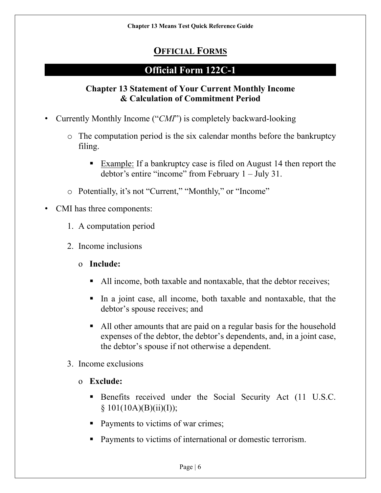# **OFFICIAL FORMS**

# **Official Form 122C-1**

## **Chapter 13 Statement of Your Current Monthly Income & Calculation of Commitment Period**

- Currently Monthly Income ("*CMI*") is completely backward-looking
	- o The computation period is the six calendar months before the bankruptcy filing.
		- **Example:** If a bankruptcy case is filed on August 14 then report the debtor's entire "income" from February 1 – July 31.
	- o Potentially, it's not "Current," "Monthly," or "Income"
- CMI has three components:
	- 1. A computation period
	- 2. Income inclusions
		- o **Include:**
			- All income, both taxable and nontaxable, that the debtor receives;
			- In a joint case, all income, both taxable and nontaxable, that the debtor's spouse receives; and
			- All other amounts that are paid on a regular basis for the household expenses of the debtor, the debtor's dependents, and, in a joint case, the debtor's spouse if not otherwise a dependent.
	- 3. Income exclusions
		- o **Exclude:**
			- Benefits received under the Social Security Act (11 U.S.C.  $§ 101(10A)(B)(ii)(I));$
			- Payments to victims of war crimes;
			- **Payments to victims of international or domestic terrorism.**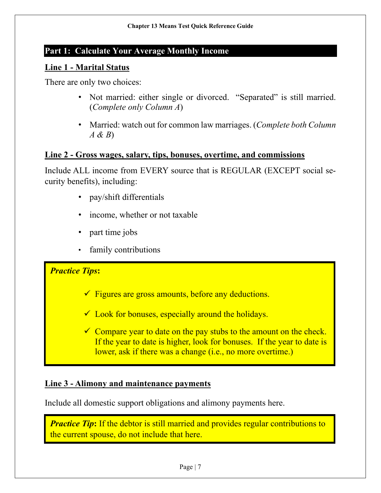# **Part 1: Calculate Your Average Monthly Income**

#### **Line 1 - Marital Status**

There are only two choices:

- Not married: either single or divorced. "Separated" is still married. (*Complete only Column A*)
- Married: watch out for common law marriages. (*Complete both Column A & B*)

#### **Line 2 - Gross wages, salary, tips, bonuses, overtime, and commissions**

Include ALL income from EVERY source that is REGULAR (EXCEPT social security benefits), including:

- pay/shift differentials
- income, whether or not taxable
- part time jobs
- family contributions

#### *Practice Tips***:**

- $\checkmark$  Figures are gross amounts, before any deductions.
- $\checkmark$  Look for bonuses, especially around the holidays.
- $\checkmark$  Compare year to date on the pay stubs to the amount on the check. If the year to date is higher, look for bonuses. If the year to date is lower, ask if there was a change (i.e., no more overtime.)

## **Line 3 - Alimony and maintenance payments**

Include all domestic support obligations and alimony payments here.

*Practice Tip*: If the debtor is still married and provides regular contributions to the current spouse, do not include that here.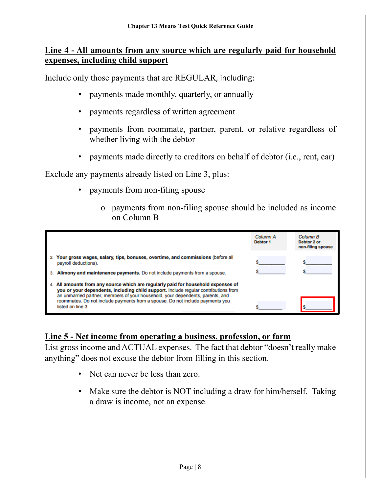## **Line 4 - All amounts from any source which are regularly paid for household expenses, including child support**

Include only those payments that are REGULAR, including:

- payments made monthly, quarterly, or annually
- payments regardless of written agreement
- payments from roommate, partner, parent, or relative regardless of whether living with the debtor
- payments made directly to creditors on behalf of debtor (i.e., rent, car)

Exclude any payments already listed on Line 3, plus:

- payments from non-filing spouse
	- o payments from non-filing spouse should be included as income on Column B

|                                                                                                                                                                                                                                                                                                                                                               | Column A<br>Debtor <sub>1</sub> | Column B<br>Debtor 2 or<br>non-filing spouse |
|---------------------------------------------------------------------------------------------------------------------------------------------------------------------------------------------------------------------------------------------------------------------------------------------------------------------------------------------------------------|---------------------------------|----------------------------------------------|
| Your gross wages, salary, tips, bonuses, overtime, and commissions (before all<br>payroll deductions).                                                                                                                                                                                                                                                        |                                 |                                              |
| Alimony and maintenance payments. Do not include payments from a spouse.                                                                                                                                                                                                                                                                                      |                                 |                                              |
| All amounts from any source which are regularly paid for household expenses of<br>you or your dependents, including child support. Include regular contributions from<br>an unmarried partner, members of your household, your dependents, parents, and<br>roommates. Do not include payments from a spouse. Do not include payments you<br>listed on line 3. |                                 |                                              |

## **Line 5 - Net income from operating a business, profession, or farm**

List gross income and ACTUAL expenses. The fact that debtor "doesn't really make anything" does not excuse the debtor from filling in this section.

- Net can never be less than zero.
- Make sure the debtor is NOT including a draw for him/herself. Taking a draw is income, not an expense.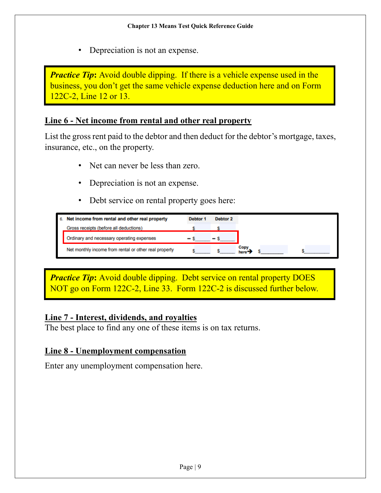Depreciation is not an expense.

*Practice Tip*: Avoid double dipping. If there is a vehicle expense used in the business, you don't get the same vehicle expense deduction here and on Form 122C-2, Line 12 or 13.

### **Line 6 - Net income from rental and other real property**

List the gross rent paid to the debtor and then deduct for the debtor's mortgage, taxes, insurance, etc., on the property.

- Net can never be less than zero.
- Depreciation is not an expense.
- Debt service on rental property goes here:

| 6. Net income from rental and other real property     | Debtor 1 | Debtor 2 |
|-------------------------------------------------------|----------|----------|
| Gross receipts (before all deductions)                |          |          |
| Ordinary and necessary operating expenses             |          |          |
| Net monthly income from rental or other real property |          |          |

*Practice Tip*: Avoid double dipping. Debt service on rental property DOES NOT go on Form 122C-2, Line 33. Form 122C-2 is discussed further below.

## **Line 7 - Interest, dividends, and royalties**

The best place to find any one of these items is on tax returns.

## **Line 8 - Unemployment compensation**

Enter any unemployment compensation here.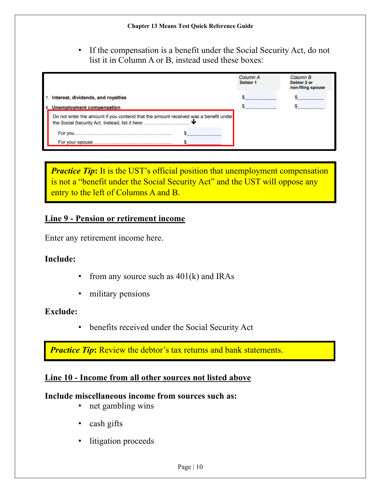• If the compensation is a benefit under the Social Security Act, do not list it in Column A or B, instead used these boxes:

|                                                                                     | Column A<br>Debtor 1 | Column B<br>Debtor 2 or<br>non-filing spouse |
|-------------------------------------------------------------------------------------|----------------------|----------------------------------------------|
| 7. Interest, dividends, and royalties                                               |                      |                                              |
| 8. Unemployment compensation                                                        |                      |                                              |
| Do not enter the amount if you contend that the amount received was a benefit under |                      |                                              |
| For you                                                                             |                      |                                              |
| For your spouse.                                                                    |                      |                                              |

*Practice Tip*: It is the UST's official position that unemployment compensation is not a "benefit under the Social Security Act" and the UST will oppose any entry to the left of Columns A and B.

#### **Line 9 - Pension or retirement income**

Enter any retirement income here.

#### **Include:**

- from any source such as  $401(k)$  and IRAs
- military pensions

#### **Exclude:**

• benefits received under the Social Security Act

*Practice Tip*: Review the debtor's tax returns and bank statements.

#### **Line 10 - Income from all other sources not listed above**

#### **Include miscellaneous income from sources such as:**

- net gambling wins
- cash gifts
- litigation proceeds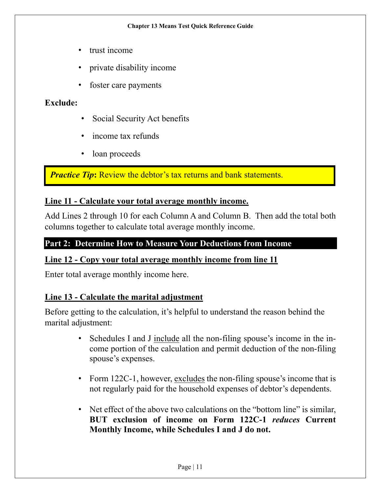- trust income
- private disability income
- foster care payments

## **Exclude:**

- Social Security Act benefits
- income tax refunds
- loan proceeds

*Practice Tip*: Review the debtor's tax returns and bank statements.

## **Line 11 - Calculate your total average monthly income.**

Add Lines 2 through 10 for each Column A and Column B. Then add the total both columns together to calculate total average monthly income.

# **Part 2: Determine How to Measure Your Deductions from Income**

#### **Line 12 - Copy your total average monthly income from line 11**

Enter total average monthly income here.

#### **Line 13 - Calculate the marital adjustment**

Before getting to the calculation, it's helpful to understand the reason behind the marital adjustment:

- Schedules I and J include all the non-filing spouse's income in the income portion of the calculation and permit deduction of the non-filing spouse's expenses.
- Form 122C-1, however, excludes the non-filing spouse's income that is not regularly paid for the household expenses of debtor's dependents.
- Net effect of the above two calculations on the "bottom line" is similar, **BUT exclusion of income on Form 122C-1** *reduces* **Current Monthly Income, while Schedules I and J do not.**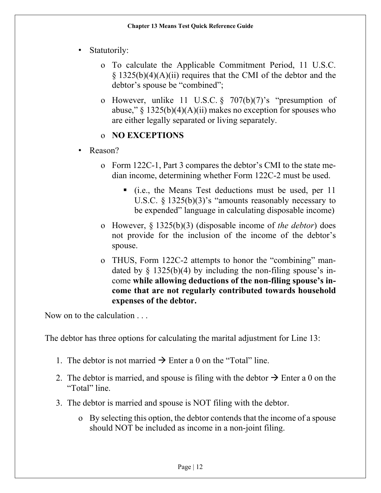- Statutorily:
	- o To calculate the Applicable Commitment Period, 11 U.S.C.  $\S$  1325(b)(4)(A)(ii) requires that the CMI of the debtor and the debtor's spouse be "combined";
	- o However, unlike 11 U.S.C. § 707(b)(7)'s "presumption of abuse,"  $\S 1325(b)(4)(A)(ii)$  makes no exception for spouses who are either legally separated or living separately.

# o **NO EXCEPTIONS**

- Reason?
	- o Form 122C-1, Part 3 compares the debtor's CMI to the state median income, determining whether Form 122C-2 must be used.
		- (i.e., the Means Test deductions must be used, per 11 U.S.C. § 1325(b)(3)'s "amounts reasonably necessary to be expended" language in calculating disposable income)
	- o However, § 1325(b)(3) (disposable income of *the debtor*) does not provide for the inclusion of the income of the debtor's spouse.
	- o THUS, Form 122C-2 attempts to honor the "combining" mandated by  $\S$  1325(b)(4) by including the non-filing spouse's income **while allowing deductions of the non-filing spouse's income that are not regularly contributed towards household expenses of the debtor.**

Now on to the calculation ...

The debtor has three options for calculating the marital adjustment for Line 13:

- 1. The debtor is not married  $\rightarrow$  Enter a 0 on the "Total" line.
- 2. The debtor is married, and spouse is filing with the debtor  $\rightarrow$  Enter a 0 on the "Total" line.
- 3. The debtor is married and spouse is NOT filing with the debtor.
	- o By selecting this option, the debtor contends that the income of a spouse should NOT be included as income in a non-joint filing.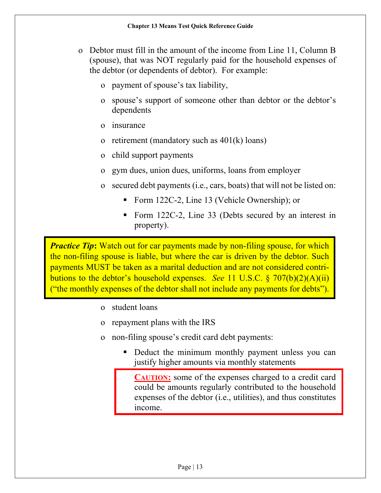- o Debtor must fill in the amount of the income from Line 11, Column B (spouse), that was NOT regularly paid for the household expenses of the debtor (or dependents of debtor). For example:
	- o payment of spouse's tax liability,
	- o spouse's support of someone other than debtor or the debtor's dependents
	- o insurance
	- o retirement (mandatory such as 401(k) loans)
	- o child support payments
	- o gym dues, union dues, uniforms, loans from employer
	- o secured debt payments (i.e., cars, boats) that will not be listed on:
		- Form 122C-2, Line 13 (Vehicle Ownership); or
		- Form 122C-2, Line 33 (Debts secured by an interest in property).

*Practice Tip*: Watch out for car payments made by non-filing spouse, for which the non-filing spouse is liable, but where the car is driven by the debtor. Such payments MUST be taken as a marital deduction and are not considered contributions to the debtor's household expenses. *See* 11 U.S.C. § 707(b)(2)(A)(ii) ("the monthly expenses of the debtor shall not include any payments for debts").

- o student loans
- o repayment plans with the IRS
- o non-filing spouse's credit card debt payments:
	- Deduct the minimum monthly payment unless you can justify higher amounts via monthly statements

**CAUTION:** some of the expenses charged to a credit card could be amounts regularly contributed to the household expenses of the debtor (i.e., utilities), and thus constitutes income.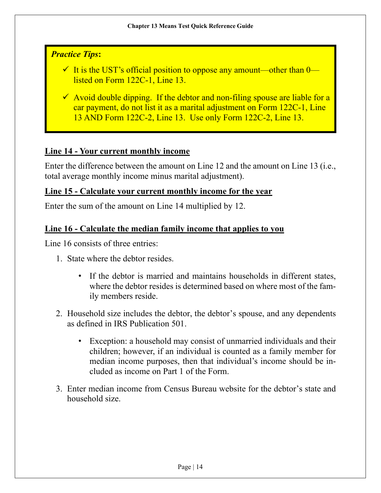# *Practice Tips***:**

- $\checkmark$  It is the UST's official position to oppose any amount—other than 0 listed on Form 122C-1, Line 13.
- $\checkmark$  Avoid double dipping. If the debtor and non-filing spouse are liable for a car payment, do not list it as a marital adjustment on Form 122C-1, Line 13 AND Form 122C-2, Line 13. Use only Form 122C-2, Line 13.

# **Line 14 - Your current monthly income**

Enter the difference between the amount on Line 12 and the amount on Line 13 (i.e., total average monthly income minus marital adjustment).

## **Line 15 - Calculate your current monthly income for the year**

Enter the sum of the amount on Line 14 multiplied by 12.

## **Line 16 - Calculate the median family income that applies to you**

Line 16 consists of three entries:

- 1. State where the debtor resides.
	- If the debtor is married and maintains households in different states, where the debtor resides is determined based on where most of the family members reside.
- 2. Household size includes the debtor, the debtor's spouse, and any dependents as defined in IRS Publication 501.
	- Exception: a household may consist of unmarried individuals and their children; however, if an individual is counted as a family member for median income purposes, then that individual's income should be included as income on Part 1 of the Form.
- 3. Enter median income from Census Bureau website for the debtor's state and household size.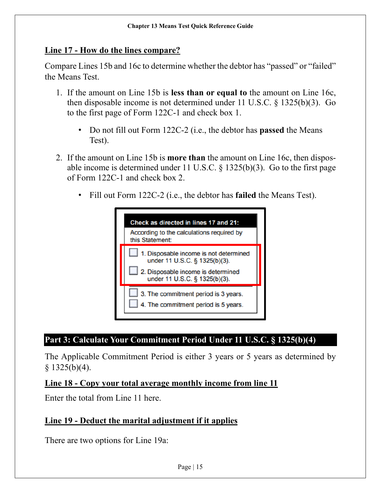#### **Line 17 - How do the lines compare?**

Compare Lines 15b and 16c to determine whether the debtor has "passed" or "failed" the Means Test.

- 1. If the amount on Line 15b is **less than or equal to** the amount on Line 16c, then disposable income is not determined under 11 U.S.C. § 1325(b)(3). Go to the first page of Form 122C-1 and check box 1.
	- Do not fill out Form 122C-2 (i.e., the debtor has **passed** the Means Test).
- 2. If the amount on Line 15b is **more than** the amount on Line 16c, then disposable income is determined under 11 U.S.C.  $\S$  1325(b)(3). Go to the first page of Form 122C-1 and check box 2.
	- Fill out Form 122C-2 (i.e., the debtor has **failed** the Means Test).



# **Part 3: Calculate Your Commitment Period Under 11 U.S.C. § 1325(b)(4)**

The Applicable Commitment Period is either 3 years or 5 years as determined by  $§ 1325(b)(4).$ 

#### **Line 18 - Copy your total average monthly income from line 11**

Enter the total from Line 11 here.

## **Line 19 - Deduct the marital adjustment if it applies**

There are two options for Line 19a: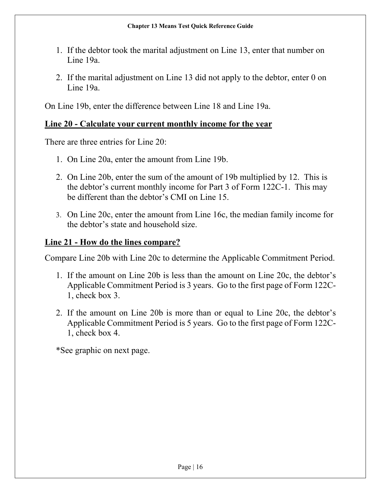- 1. If the debtor took the marital adjustment on Line 13, enter that number on Line 19a.
- 2. If the marital adjustment on Line 13 did not apply to the debtor, enter 0 on Line 19a.

On Line 19b, enter the difference between Line 18 and Line 19a.

#### **Line 20 - Calculate your current monthly income for the year**

There are three entries for Line 20:

- 1. On Line 20a, enter the amount from Line 19b.
- 2. On Line 20b, enter the sum of the amount of 19b multiplied by 12. This is the debtor's current monthly income for Part 3 of Form 122C-1. This may be different than the debtor's CMI on Line 15.
- 3. On Line 20c, enter the amount from Line 16c, the median family income for the debtor's state and household size.

#### **Line 21 - How do the lines compare?**

Compare Line 20b with Line 20c to determine the Applicable Commitment Period.

- 1. If the amount on Line 20b is less than the amount on Line 20c, the debtor's Applicable Commitment Period is 3 years. Go to the first page of Form 122C-1, check box 3.
- 2. If the amount on Line 20b is more than or equal to Line 20c, the debtor's Applicable Commitment Period is 5 years. Go to the first page of Form 122C-1, check box 4.

\*See graphic on next page.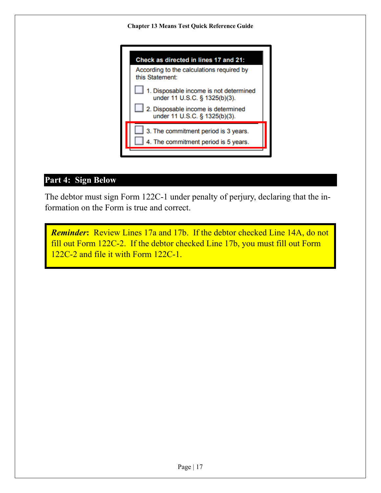

# **Part 4: Sign Below**

The debtor must sign Form 122C-1 under penalty of perjury, declaring that the information on the Form is true and correct.

*Reminder***:** Review Lines 17a and 17b. If the debtor checked Line 14A, do not fill out Form 122C-2. If the debtor checked Line 17b, you must fill out Form 122C-2 and file it with Form 122C-1.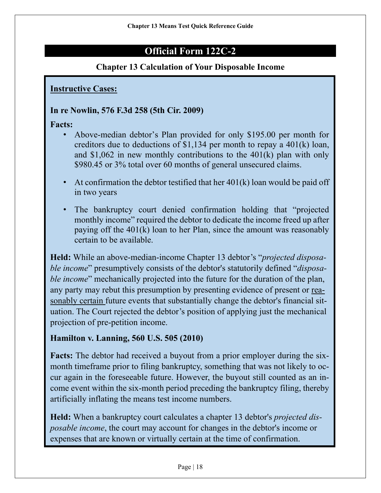# **Official Form 122C-2**

## **Chapter 13 Calculation of Your Disposable Income**

**Instructive Cases:**

#### **In re Nowlin, 576 F.3d 258 (5th Cir. 2009)**

**Facts:**

- Above-median debtor's Plan provided for only \$195.00 per month for creditors due to deductions of \$1,134 per month to repay a 401(k) loan, and \$1,062 in new monthly contributions to the  $401(k)$  plan with only \$980.45 or 3% total over 60 months of general unsecured claims.
- At confirmation the debtor testified that her  $401(k)$  loan would be paid off in two years
- The bankruptcy court denied confirmation holding that "projected" monthly income" required the debtor to dedicate the income freed up after paying off the 401(k) loan to her Plan, since the amount was reasonably certain to be available.

**Held:** While an above-median-income Chapter 13 debtor's "*projected disposable income*" presumptively consists of the debtor's statutorily defined "*disposable income*" mechanically projected into the future for the duration of the plan, any party may rebut this presumption by presenting evidence of present or reasonably certain future events that substantially change the debtor's financial situation. The Court rejected the debtor's position of applying just the mechanical projection of pre-petition income.

## **Hamilton v. Lanning, 560 U.S. 505 (2010)**

**Facts:** The debtor had received a buyout from a prior employer during the sixmonth timeframe prior to filing bankruptcy, something that was not likely to occur again in the foreseeable future. However, the buyout still counted as an income event within the six-month period preceding the bankruptcy filing, thereby artificially inflating the means test income numbers.

**Held:** When a bankruptcy court calculates a chapter 13 debtor's *projected disposable income*, the court may account for changes in the debtor's income or expenses that are known or virtually certain at the time of confirmation.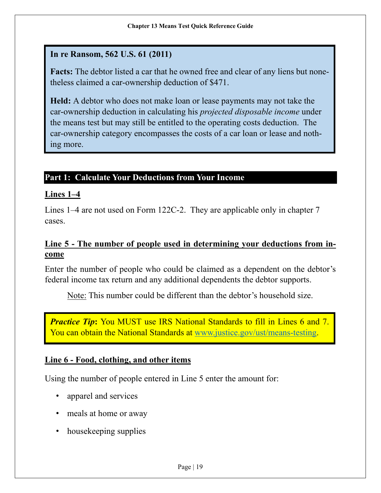# **In re Ransom, 562 U.S. 61 (2011)**

**Facts:** The debtor listed a car that he owned free and clear of any liens but nonetheless claimed a car-ownership deduction of \$471.

**Held:** A debtor who does not make loan or lease payments may not take the car-ownership deduction in calculating his *projected disposable income* under the means test but may still be entitled to the operating costs deduction. The car-ownership category encompasses the costs of a car loan or lease and nothing more.

## **Part 1: Calculate Your Deductions from Your Income**

## **Lines 1–4**

Lines 1–4 are not used on Form 122C-2. They are applicable only in chapter 7 cases.

## **Line 5 - The number of people used in determining your deductions from income**

Enter the number of people who could be claimed as a dependent on the debtor's federal income tax return and any additional dependents the debtor supports.

Note: This number could be different than the debtor's household size.

*Practice Tip*: You MUST use IRS National Standards to fill in Lines 6 and 7. You can obtain the National Standards at [www.justice.gov/ust/means-testing.](http://www.justice.gov/ust/means-testing)

## **Line 6 - Food, clothing, and other items**

Using the number of people entered in Line 5 enter the amount for:

- apparel and services
- meals at home or away
- house keeping supplies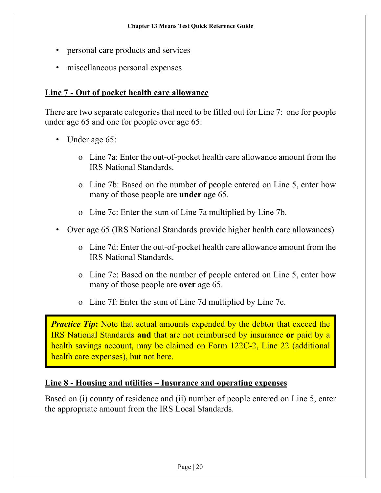- personal care products and services
- miscellaneous personal expenses

## **Line 7 - Out of pocket health care allowance**

There are two separate categories that need to be filled out for Line 7: one for people under age 65 and one for people over age 65:

- Under age 65:
	- o Line 7a: Enter the out-of-pocket health care allowance amount from the IRS National Standards.
	- o Line 7b: Based on the number of people entered on Line 5, enter how many of those people are **under** age 65.
	- o Line 7c: Enter the sum of Line 7a multiplied by Line 7b.
- Over age 65 (IRS National Standards provide higher health care allowances)
	- o Line 7d: Enter the out-of-pocket health care allowance amount from the IRS National Standards.
	- o Line 7e: Based on the number of people entered on Line 5, enter how many of those people are **over** age 65.
	- o Line 7f: Enter the sum of Line 7d multiplied by Line 7e.

*Practice Tip*: Note that actual amounts expended by the debtor that exceed the IRS National Standards **and** that are not reimbursed by insurance **or** paid by a health savings account, may be claimed on Form 122C-2, Line 22 (additional health care expenses), but not here.

#### **Line 8 - Housing and utilities – Insurance and operating expenses**

Based on (i) county of residence and (ii) number of people entered on Line 5, enter the appropriate amount from the IRS Local Standards.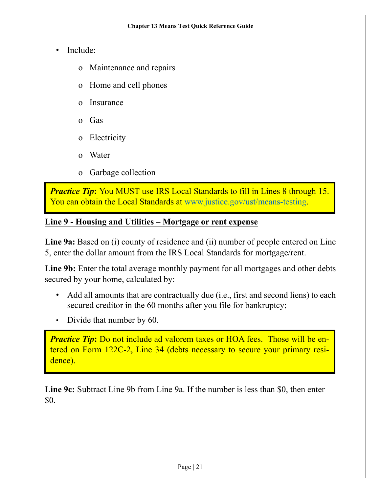- Include:
	- o Maintenance and repairs
	- o Home and cell phones
	- o Insurance
	- o Gas
	- o Electricity
	- o Water
	- o Garbage collection

*Practice Tip*: You MUST use IRS Local Standards to fill in Lines 8 through 15. You can obtain the Local Standards at [www.justice.gov/ust/means-testing.](http://www.justice.gov/ust/means-testing)

# **Line 9 - Housing and Utilities – Mortgage or rent expense**

**Line 9a:** Based on (i) county of residence and (ii) number of people entered on Line 5, enter the dollar amount from the IRS Local Standards for mortgage/rent.

Line 9b: Enter the total average monthly payment for all mortgages and other debts secured by your home, calculated by:

- Add all amounts that are contractually due (i.e., first and second liens) to each secured creditor in the 60 months after you file for bankruptcy;
- Divide that number by 60.

*Practice Tip*: Do not include ad valorem taxes or HOA fees. Those will be entered on Form 122C-2, Line 34 (debts necessary to secure your primary residence).

**Line 9c:** Subtract Line 9b from Line 9a. If the number is less than \$0, then enter \$0.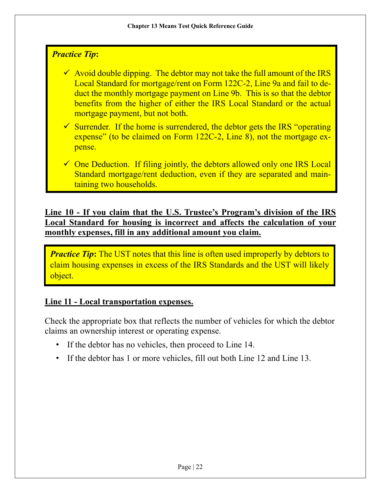# *Practice Tip***:**

 $\checkmark$  Avoid double dipping. The debtor may not take the full amount of the IRS Local Standard for mortgage/rent on Form 122C-2, Line 9a and fail to deduct the monthly mortgage payment on Line 9b. This is so that the debtor benefits from the higher of either the IRS Local Standard or the actual mortgage payment, but not both.

 $\checkmark$  Surrender. If the home is surrendered, the debtor gets the IRS "operating" expense" (to be claimed on Form 122C-2, Line 8), not the mortgage expense.

 $\checkmark$  One Deduction. If filing jointly, the debtors allowed only one IRS Local Standard mortgage/rent deduction, even if they are separated and maintaining two households.

**Line 10 - If you claim that the U.S. Trustee's Program's division of the IRS Local Standard for housing is incorrect and affects the calculation of your monthly expenses, fill in any additional amount you claim.**

*Practice Tip*: The UST notes that this line is often used improperly by debtors to claim housing expenses in excess of the IRS Standards and the UST will likely object.

## **Line 11 - Local transportation expenses.**

Check the appropriate box that reflects the number of vehicles for which the debtor claims an ownership interest or operating expense.

- If the debtor has no vehicles, then proceed to Line 14.
- If the debtor has 1 or more vehicles, fill out both Line 12 and Line 13.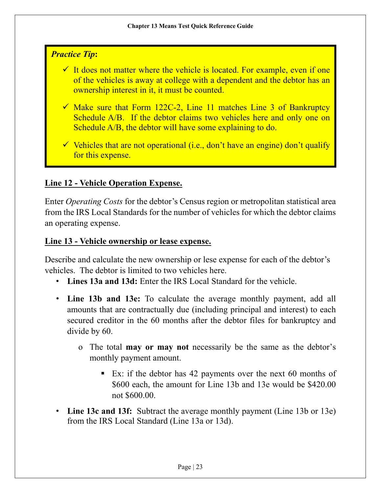# *Practice Tip***:**

- $\checkmark$  It does not matter where the vehicle is located. For example, even if one of the vehicles is away at college with a dependent and the debtor has an ownership interest in it, it must be counted.
- $\checkmark$  Make sure that Form 122C-2, Line 11 matches Line 3 of Bankruptcy Schedule A/B. If the debtor claims two vehicles here and only one on Schedule A/B, the debtor will have some explaining to do.
- $\checkmark$  Vehicles that are not operational (i.e., don't have an engine) don't qualify for this expense.

# **Line 12 - Vehicle Operation Expense.**

Enter *Operating Costs* for the debtor's Census region or metropolitan statistical area from the IRS Local Standards for the number of vehicles for which the debtor claims an operating expense.

#### **Line 13 - Vehicle ownership or lease expense.**

Describe and calculate the new ownership or lese expense for each of the debtor's vehicles. The debtor is limited to two vehicles here.

- **Lines 13a and 13d:** Enter the IRS Local Standard for the vehicle.
- **Line 13b and 13e:** To calculate the average monthly payment, add all amounts that are contractually due (including principal and interest) to each secured creditor in the 60 months after the debtor files for bankruptcy and divide by 60.
	- o The total **may or may not** necessarily be the same as the debtor's monthly payment amount.
		- Ex: if the debtor has 42 payments over the next 60 months of \$600 each, the amount for Line 13b and 13e would be \$420.00 not \$600.00.
- **Line 13c and 13f:** Subtract the average monthly payment (Line 13b or 13e) from the IRS Local Standard (Line 13a or 13d).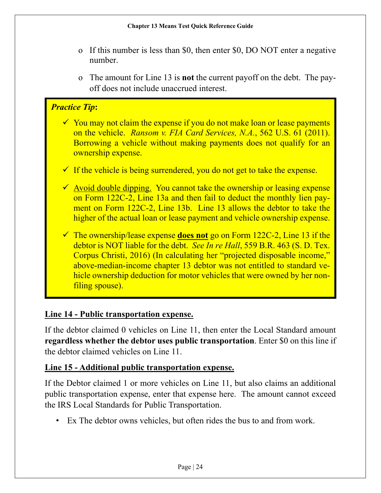- o If this number is less than \$0, then enter \$0, DO NOT enter a negative number.
- o The amount for Line 13 is **not** the current payoff on the debt. The payoff does not include unaccrued interest.

# *Practice Tip***:**

- $\checkmark$  You may not claim the expense if you do not make loan or lease payments on the vehicle. *Ransom v. FIA Card Services, N.A.*, 562 U.S. 61 (2011). Borrowing a vehicle without making payments does not qualify for an ownership expense.
- $\checkmark$  If the vehicle is being surrendered, you do not get to take the expense.
- $\checkmark$  Avoid double dipping. You cannot take the ownership or leasing expense on Form 122C-2, Line 13a and then fail to deduct the monthly lien payment on Form 122C-2, Line 13b. Line 13 allows the debtor to take the higher of the actual loan or lease payment and vehicle ownership expense.
- The ownership/lease expense **does not** go on Form 122C-2, Line 13 if the debtor is NOT liable for the debt. *See In re Hall*, 559 B.R. 463 (S. D. Tex. Corpus Christi, 2016) (In calculating her "projected disposable income," above-median-income chapter 13 debtor was not entitled to standard vehicle ownership deduction for motor vehicles that were owned by her nonfiling spouse).

## **Line 14 - Public transportation expense.**

If the debtor claimed 0 vehicles on Line 11, then enter the Local Standard amount **regardless whether the debtor uses public transportation**. Enter \$0 on this line if the debtor claimed vehicles on Line 11.

## **Line 15 - Additional public transportation expense.**

If the Debtor claimed 1 or more vehicles on Line 11, but also claims an additional public transportation expense, enter that expense here. The amount cannot exceed the IRS Local Standards for Public Transportation.

• Ex The debtor owns vehicles, but often rides the bus to and from work.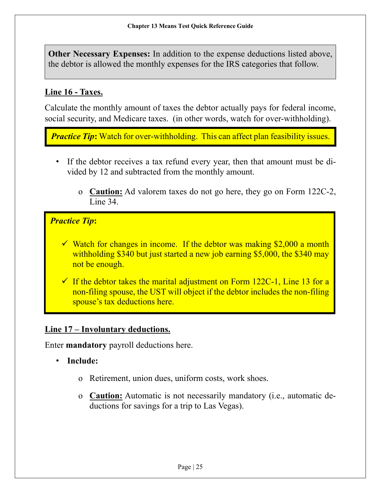**Other Necessary Expenses:** In addition to the expense deductions listed above, the debtor is allowed the monthly expenses for the IRS categories that follow.

# **Line 16 - Taxes.**

Calculate the monthly amount of taxes the debtor actually pays for federal income, social security, and Medicare taxes. (in other words, watch for over-withholding).

*Practice Tip*: Watch for over-withholding. This can affect plan feasibility issues.

- If the debtor receives a tax refund every year, then that amount must be divided by 12 and subtracted from the monthly amount.
	- o **Caution:** Ad valorem taxes do not go here, they go on Form 122C-2, Line 34.

# *Practice Tip***:**

- $\checkmark$  Watch for changes in income. If the debtor was making \$2,000 a month withholding \$340 but just started a new job earning \$5,000, the \$340 may not be enough.
- $\checkmark$  If the debtor takes the marital adjustment on Form 122C-1, Line 13 for a non-filing spouse, the UST will object if the debtor includes the non-filing spouse's tax deductions here.

## **Line 17 – Involuntary deductions.**

Enter **mandatory** payroll deductions here.

- **Include:**
	- o Retirement, union dues, uniform costs, work shoes.
	- o **Caution:** Automatic is not necessarily mandatory (i.e., automatic deductions for savings for a trip to Las Vegas).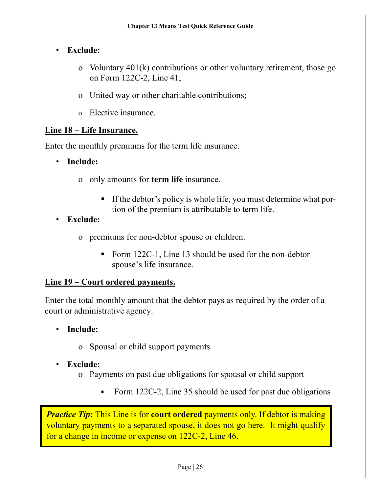## • **Exclude:**

- o Voluntary 401(k) contributions or other voluntary retirement, those go on Form 122C-2, Line 41;
- o United way or other charitable contributions;
- o Elective insurance.

## **Line 18 – Life Insurance.**

Enter the monthly premiums for the term life insurance.

• **Include:**

- o only amounts for **term life** insurance.
	- If the debtor's policy is whole life, you must determine what portion of the premium is attributable to term life.
- **Exclude:**
	- o premiums for non-debtor spouse or children.
		- Form 122C-1, Line 13 should be used for the non-debtor spouse's life insurance.

## **Line 19 – Court ordered payments.**

Enter the total monthly amount that the debtor pays as required by the order of a court or administrative agency.

- **Include:**
	- o Spousal or child support payments
- **Exclude:**
	- o Payments on past due obligations for spousal or child support
		- Form 122C-2, Line 35 should be used for past due obligations

*Practice Tip*: This Line is for **court ordered** payments only. If debtor is making voluntary payments to a separated spouse, it does not go here. It might qualify for a change in income or expense on 122C-2, Line 46.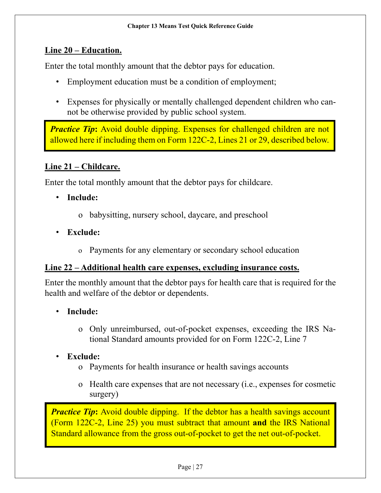#### **Line 20 – Education.**

Enter the total monthly amount that the debtor pays for education.

- Employment education must be a condition of employment;
- Expenses for physically or mentally challenged dependent children who cannot be otherwise provided by public school system.

*Practice Tip*: Avoid double dipping. Expenses for challenged children are not allowed here if including them on Form 122C-2, Lines 21 or 29, described below.

# **Line 21 – Childcare.**

Enter the total monthly amount that the debtor pays for childcare.

- **Include:**
	- o babysitting, nursery school, daycare, and preschool
- **Exclude:**
	- o Payments for any elementary or secondary school education

#### **Line 22 – Additional health care expenses, excluding insurance costs.**

Enter the monthly amount that the debtor pays for health care that is required for the health and welfare of the debtor or dependents.

- **Include:**
	- o Only unreimbursed, out-of-pocket expenses, exceeding the IRS National Standard amounts provided for on Form 122C-2, Line 7

## • **Exclude:**

- o Payments for health insurance or health savings accounts
- o Health care expenses that are not necessary (i.e., expenses for cosmetic surgery)

*Practice Tip*: Avoid double dipping. If the debtor has a health savings account (Form 122C-2, Line 25) you must subtract that amount **and** the IRS National Standard allowance from the gross out-of-pocket to get the net out-of-pocket.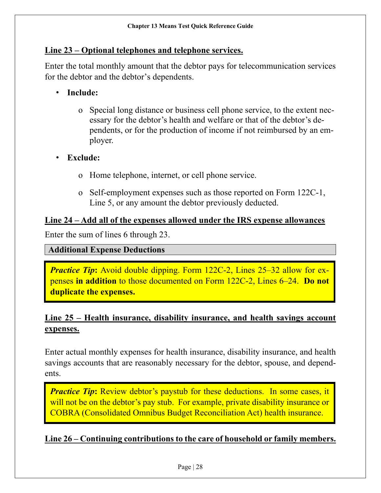#### **Line 23 – Optional telephones and telephone services.**

Enter the total monthly amount that the debtor pays for telecommunication services for the debtor and the debtor's dependents.

- **Include:**
	- o Special long distance or business cell phone service, to the extent necessary for the debtor's health and welfare or that of the debtor's dependents, or for the production of income if not reimbursed by an employer.
- **Exclude:**
	- o Home telephone, internet, or cell phone service.
	- o Self-employment expenses such as those reported on Form 122C-1, Line 5, or any amount the debtor previously deducted.

#### **Line 24 – Add all of the expenses allowed under the IRS expense allowances**

Enter the sum of lines 6 through 23.

#### **Additional Expense Deductions**

*Practice Tip***:** Avoid double dipping. Form 122C-2, Lines 25–32 allow for expenses **in addition** to those documented on Form 122C-2, Lines 6–24. **Do not duplicate the expenses.**

# **Line 25 – Health insurance, disability insurance, and health savings account expenses.**

Enter actual monthly expenses for health insurance, disability insurance, and health savings accounts that are reasonably necessary for the debtor, spouse, and dependents.

*Practice Tip*: Review debtor's paystub for these deductions. In some cases, it will not be on the debtor's pay stub. For example, private disability insurance or COBRA (Consolidated Omnibus Budget Reconciliation Act) health insurance.

#### **Line 26 – Continuing contributions to the care of household or family members.**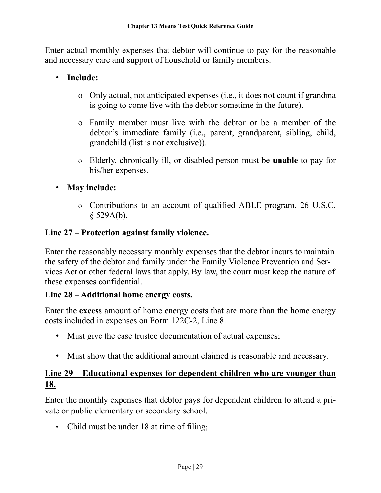Enter actual monthly expenses that debtor will continue to pay for the reasonable and necessary care and support of household or family members.

## • **Include:**

- o Only actual, not anticipated expenses (i.e., it does not count if grandma is going to come live with the debtor sometime in the future).
- o Family member must live with the debtor or be a member of the debtor's immediate family (i.e., parent, grandparent, sibling, child, grandchild (list is not exclusive)).
- o Elderly, chronically ill, or disabled person must be **unable** to pay for his/her expenses.
- **May include:**
	- o Contributions to an account of qualified ABLE program. 26 U.S.C.  $§$  529A(b).

## **Line 27 – Protection against family violence.**

Enter the reasonably necessary monthly expenses that the debtor incurs to maintain the safety of the debtor and family under the Family Violence Prevention and Services Act or other federal laws that apply. By law, the court must keep the nature of these expenses confidential.

#### **Line 28 – Additional home energy costs.**

Enter the **excess** amount of home energy costs that are more than the home energy costs included in expenses on Form 122C-2, Line 8.

- Must give the case trustee documentation of actual expenses;
- Must show that the additional amount claimed is reasonable and necessary.

# **Line 29 – Educational expenses for dependent children who are younger than 18.**

Enter the monthly expenses that debtor pays for dependent children to attend a private or public elementary or secondary school.

• Child must be under 18 at time of filing;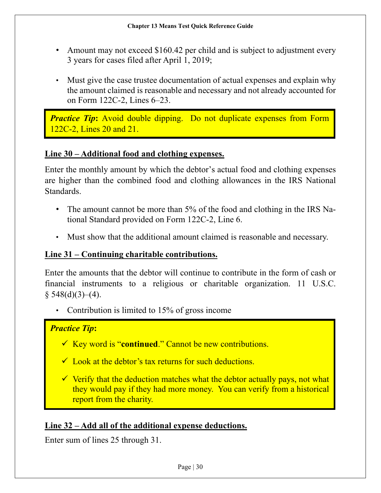- Amount may not exceed \$160.42 per child and is subject to adjustment every 3 years for cases filed after April 1, 2019;
- Must give the case trustee documentation of actual expenses and explain why the amount claimed is reasonable and necessary and not already accounted for on Form 122C-2, Lines 6–23.

*Practice Tip*: Avoid double dipping. Do not duplicate expenses from Form 122C-2, Lines 20 and 21.

## **Line 30 – Additional food and clothing expenses.**

Enter the monthly amount by which the debtor's actual food and clothing expenses are higher than the combined food and clothing allowances in the IRS National Standards.

- The amount cannot be more than 5% of the food and clothing in the IRS National Standard provided on Form 122C-2, Line 6.
- Must show that the additional amount claimed is reasonable and necessary.

#### **Line 31 – Continuing charitable contributions.**

Enter the amounts that the debtor will continue to contribute in the form of cash or financial instruments to a religious or charitable organization. 11 U.S.C.  $§ 548(d)(3)–(4).$ 

• Contribution is limited to 15% of gross income

#### *Practice Tip***:**

- Key word is "**continued**." Cannot be new contributions.
- $\checkmark$  Look at the debtor's tax returns for such deductions.
- $\checkmark$  Verify that the deduction matches what the debtor actually pays, not what they would pay if they had more money. You can verify from a historical report from the charity.

## **Line 32 – Add all of the additional expense deductions.**

Enter sum of lines 25 through 31.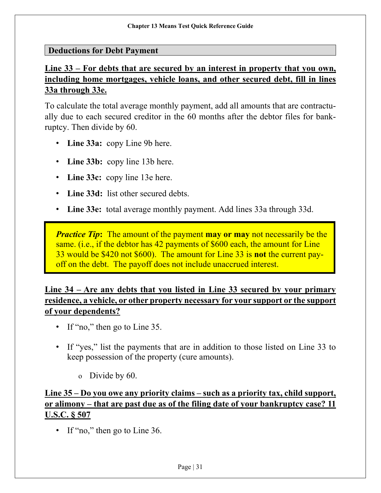#### **Deductions for Debt Payment**

# **Line 33 – For debts that are secured by an interest in property that you own, including home mortgages, vehicle loans, and other secured debt, fill in lines 33a through 33e.**

To calculate the total average monthly payment, add all amounts that are contractually due to each secured creditor in the 60 months after the debtor files for bankruptcy. Then divide by 60.

- **Line 33a:** copy Line 9b here.
- **Line 33b:** copy line 13b here.
- **Line 33c:** copy line 13e here.
- **Line 33d:** list other secured debts.
- **Line 33e:** total average monthly payment. Add lines 33a through 33d.

*Practice Tip*: The amount of the payment **may or may** not necessarily be the same. (i.e., if the debtor has 42 payments of \$600 each, the amount for Line 33 would be \$420 not \$600). The amount for Line 33 is **not** the current payoff on the debt. The payoff does not include unaccrued interest.

# **Line 34 – Are any debts that you listed in Line 33 secured by your primary residence, a vehicle, or other property necessary for your support or the support of your dependents?**

- If "no," then go to Line 35.
- If "yes," list the payments that are in addition to those listed on Line 33 to keep possession of the property (cure amounts).
	- o Divide by 60.

# **Line 35 – Do you owe any priority claims – such as a priority tax, child support, or alimony – that are past due as of the filing date of your bankruptcy case? 11 U.S.C. § 507**

• If "no," then go to Line 36.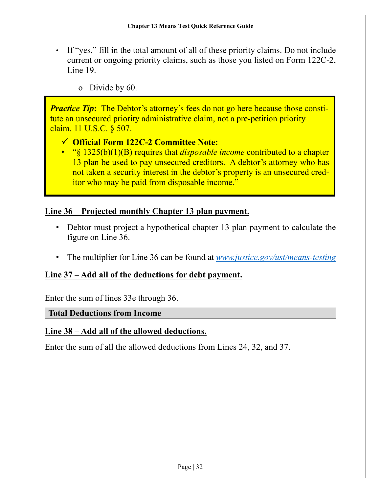- If "yes," fill in the total amount of all of these priority claims. Do not include current or ongoing priority claims, such as those you listed on Form 122C-2, Line 19.
	- o Divide by 60.

*Practice Tip*: The Debtor's attorney's fees do not go here because those constitute an unsecured priority administrative claim, not a pre-petition priority claim. 11 U.S.C. § 507.

## **Official Form 122C-2 Committee Note:**

• "§ 1325(b)(1)(B) requires that *disposable income* contributed to a chapter 13 plan be used to pay unsecured creditors. A debtor's attorney who has not taken a security interest in the debtor's property is an unsecured creditor who may be paid from disposable income."

## **Line 36 – Projected monthly Chapter 13 plan payment.**

- Debtor must project a hypothetical chapter 13 plan payment to calculate the figure on Line 36.
- The multiplier for Line 36 can be found at *[www.justice.gov/ust/means-testing](http://www.justice.gov/ust/means-testing)*

## **Line 37 – Add all of the deductions for debt payment.**

Enter the sum of lines 33e through 36.

#### **Total Deductions from Income**

#### **Line 38 – Add all of the allowed deductions.**

Enter the sum of all the allowed deductions from Lines 24, 32, and 37.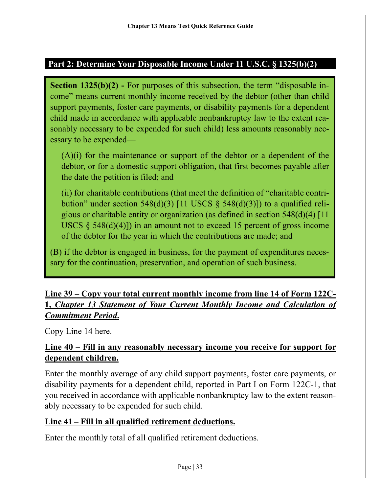## **Part 2: Determine Your Disposable Income Under 11 U.S.C. § 1325(b)(2)**

**Section 1325(b)(2)** - For purposes of this subsection, the term "disposable income" means current monthly income received by the debtor (other than child support payments, foster care payments, or disability payments for a dependent child made in accordance with applicable nonbankruptcy law to the extent reasonably necessary to be expended for such child) less amounts reasonably necessary to be expended—

(A)(i) for the maintenance or support of the debtor or a dependent of the debtor, or for a domestic support obligation, that first becomes payable after the date the petition is filed; and

(ii) for charitable contributions (that meet the definition of "charitable contribution" under section 548(d)(3) [11 USCS  $\S$  548(d)(3)]) to a qualified religious or charitable entity or organization (as defined in section 548(d)(4) [11 USCS  $\S$  548(d)(4)]) in an amount not to exceed 15 percent of gross income of the debtor for the year in which the contributions are made; and

(B) if the debtor is engaged in business, for the payment of expenditures necessary for the continuation, preservation, and operation of such business.

# **Line 39 – Copy your total current monthly income from line 14 of Form 122C-1,** *Chapter 13 Statement of Your Current Monthly Income and Calculation of Commitment Period***.**

Copy Line 14 here.

# **Line 40 – Fill in any reasonably necessary income you receive for support for dependent children.**

Enter the monthly average of any child support payments, foster care payments, or disability payments for a dependent child, reported in Part I on Form 122C-1, that you received in accordance with applicable nonbankruptcy law to the extent reasonably necessary to be expended for such child.

## **Line 41 – Fill in all qualified retirement deductions.**

Enter the monthly total of all qualified retirement deductions.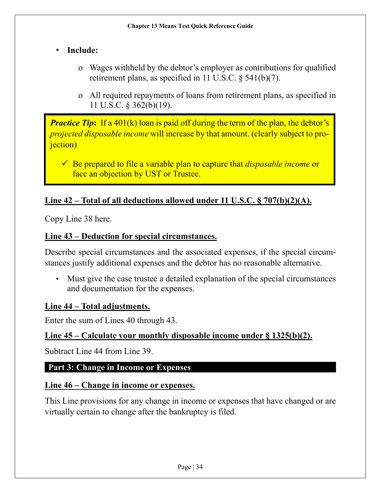# • **Include:**

- o Wages withheld by the debtor's employer as contributions for qualified retirement plans, as specified in 11 U.S.C. § 541(b)(7).
- o All required repayments of loans from retirement plans, as specified in 11 U.S.C. § 362(b)(19).

*Practice Tip*: If a 401(k) loan is paid off during the term of the plan, the debtor's *projected disposable income* will increase by that amount. (clearly subject to pro*i*ection)

 Be prepared to file a variable plan to capture that *disposable income* or face an objection by UST or Trustee.

# **Line 42 – Total of all deductions allowed under 11 U.S.C. § 707(b)(2)(A).**

Copy Line 38 here.

#### **Line 43 – Deduction for special circumstances.**

Describe special circumstances and the associated expenses, if the special circumstances justify additional expenses and the debtor has no reasonable alternative.

• Must give the case trustee a detailed explanation of the special circumstances and documentation for the expenses.

#### **Line 44 – Total adjustments.**

Enter the sum of Lines 40 through 43.

#### **Line 45 – Calculate your monthly disposable income under § 1325(b)(2).**

Subtract Line 44 from Line 39.

## **Part 3: Change in Income or Expenses**

#### **Line 46 – Change in income or expenses.**

This Line provisions for any change in income or expenses that have changed or are virtually certain to change after the bankruptcy is filed.